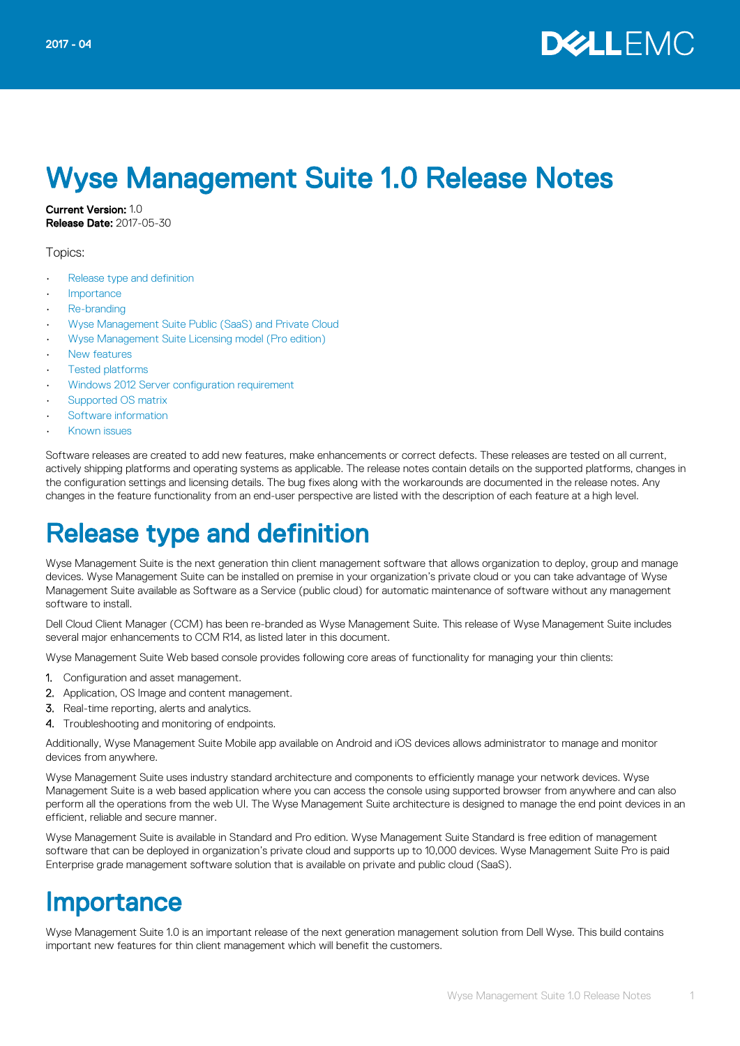

# Wyse Management Suite 1.0 Release Notes

Current Version: 1.0 Release Date: 2017-05-30

Topics:

- Release type and definition
- **Importance**
- [Re-branding](#page-1-0)
- [Wyse Management Suite Public \(SaaS\) and Private Cloud](#page-1-0)
- [Wyse Management Suite Licensing model \(Pro edition\)](#page-1-0)
- [New features](#page-2-0)
- **[Tested platforms](#page-6-0)**
- [Windows 2012 Server configuration requirement](#page-7-0)
- [Supported OS matrix](#page-7-0)
- [Software information](#page-8-0)
- [Known issues](#page-8-0)

Software releases are created to add new features, make enhancements or correct defects. These releases are tested on all current, actively shipping platforms and operating systems as applicable. The release notes contain details on the supported platforms, changes in the configuration settings and licensing details. The bug fixes along with the workarounds are documented in the release notes. Any changes in the feature functionality from an end-user perspective are listed with the description of each feature at a high level.

## Release type and definition

Wyse Management Suite is the next generation thin client management software that allows organization to deploy, group and manage devices. Wyse Management Suite can be installed on premise in your organization's private cloud or you can take advantage of Wyse Management Suite available as Software as a Service (public cloud) for automatic maintenance of software without any management software to install.

Dell Cloud Client Manager (CCM) has been re-branded as Wyse Management Suite. This release of Wyse Management Suite includes several major enhancements to CCM R14, as listed later in this document.

Wyse Management Suite Web based console provides following core areas of functionality for managing your thin clients:

- 1. Configuration and asset management.
- 2. Application, OS Image and content management.
- 3. Real-time reporting, alerts and analytics.
- 4. Troubleshooting and monitoring of endpoints.

Additionally, Wyse Management Suite Mobile app available on Android and iOS devices allows administrator to manage and monitor devices from anywhere.

Wyse Management Suite uses industry standard architecture and components to efficiently manage your network devices. Wyse Management Suite is a web based application where you can access the console using supported browser from anywhere and can also perform all the operations from the web UI. The Wyse Management Suite architecture is designed to manage the end point devices in an efficient, reliable and secure manner.

Wyse Management Suite is available in Standard and Pro edition. Wyse Management Suite Standard is free edition of management software that can be deployed in organization's private cloud and supports up to 10,000 devices. Wyse Management Suite Pro is paid Enterprise grade management software solution that is available on private and public cloud (SaaS).

#### **Importance**

Wyse Management Suite 1.0 is an important release of the next generation management solution from Dell Wyse. This build contains important new features for thin client management which will benefit the customers.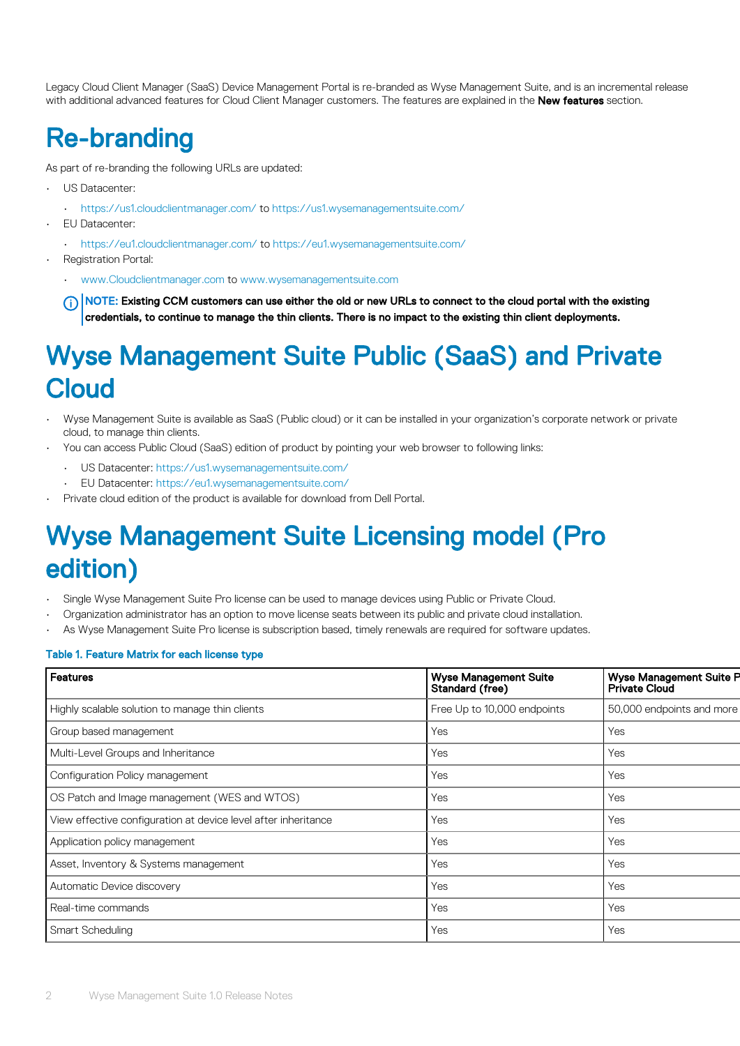<span id="page-1-0"></span>Legacy Cloud Client Manager (SaaS) Device Management Portal is re-branded as Wyse Management Suite, and is an incremental release with additional advanced features for Cloud Client Manager customers. The features are explained in the New features section.

## Re-branding

As part of re-branding the following URLs are updated:

- US Datacenter:
	- [https://us1.cloudclientmanager.com/](HTTPS://US1.CLOUDCLIENTMANAGER.COM/) to [https://us1.wysemanagementsuite.com/](HTTPS://US1.WYSEMANAGEMENTSUITE.COM/)
- EU Datacenter:
	- [https://eu1.cloudclientmanager.com/](HTTPS://EU1.CLOUDCLIENTMANAGER.COM/) to [https://eu1.wysemanagementsuite.com/](HTTPS://EU1.WYSEMANAGEMENTSUITE.COM/)
- Registration Portal:
	- [www.Cloudclientmanager.com](HTTPS://WWW.CLOUDCLIENTMANAGER.COM/) to [www.wysemanagementsuite.com](HTTPS://WWW.WYSEMANAGEMENTSUITE.COM/)

NOTE: Existing CCM customers can use either the old or new URLs to connect to the cloud portal with the existing credentials, to continue to manage the thin clients. There is no impact to the existing thin client deployments.

## Wyse Management Suite Public (SaaS) and Private Cloud

- Wyse Management Suite is available as SaaS (Public cloud) or it can be installed in your organization's corporate network or private cloud, to manage thin clients.
- You can access Public Cloud (SaaS) edition of product by pointing your web browser to following links:
	- US Datacenter: [https://us1.wysemanagementsuite.com/](https://us1.wysemanagementsuite.com/ccm-web)
	- EU Datacenter: [https://eu1.wysemanagementsuite.com/](https://eu1.wysemanagementsuite.com/ccm-web)
- Private cloud edition of the product is available for download from Dell Portal.

## Wyse Management Suite Licensing model (Pro edition)

- Single Wyse Management Suite Pro license can be used to manage devices using Public or Private Cloud.
- Organization administrator has an option to move license seats between its public and private cloud installation.
- As Wyse Management Suite Pro license is subscription based, timely renewals are required for software updates.

#### Table 1. Feature Matrix for each license type

| Features                                                       | <b>Wyse Management Suite</b><br>Standard (free) | <b>Wyse Management Suite P</b><br><b>Private Cloud</b> |
|----------------------------------------------------------------|-------------------------------------------------|--------------------------------------------------------|
| Highly scalable solution to manage thin clients                | Free Up to 10,000 endpoints                     | 50,000 endpoints and more                              |
| Group based management                                         | Yes                                             | Yes                                                    |
| Multi-Level Groups and Inheritance                             | Yes                                             | Yes                                                    |
| Configuration Policy management                                | Yes                                             | Yes                                                    |
| OS Patch and Image management (WES and WTOS)                   | Yes                                             | Yes                                                    |
| View effective configuration at device level after inheritance | Yes                                             | Yes                                                    |
| Application policy management                                  | Yes                                             | Yes                                                    |
| Asset, Inventory & Systems management                          | Yes                                             | Yes                                                    |
| Automatic Device discovery                                     | Yes                                             | Yes                                                    |
| Real-time commands                                             | Yes                                             | Yes                                                    |
| Smart Scheduling                                               | Yes                                             | Yes                                                    |
|                                                                |                                                 |                                                        |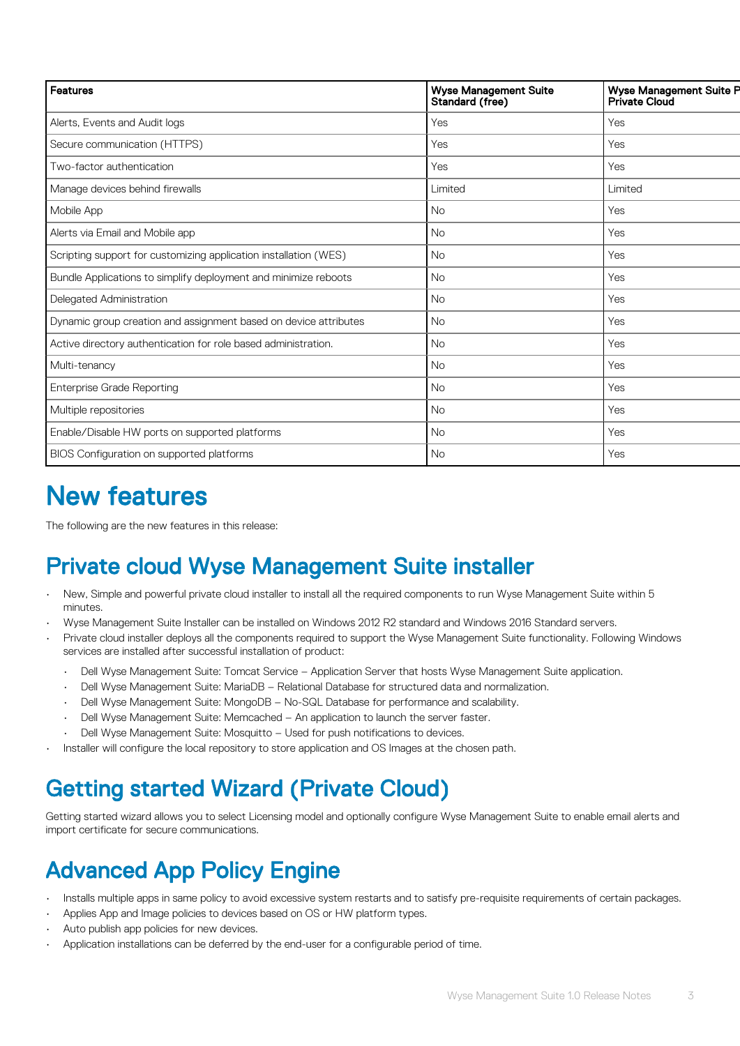<span id="page-2-0"></span>

| <b>Features</b>                                                  | <b>Wyse Management Suite</b><br>Standard (free) | <b>Wyse Management Suite P</b><br>Private Cloud |
|------------------------------------------------------------------|-------------------------------------------------|-------------------------------------------------|
| Alerts, Events and Audit logs                                    | Yes                                             | Yes                                             |
| Secure communication (HTTPS)                                     | Yes                                             | Yes                                             |
| Two-factor authentication                                        | Yes                                             | Yes                                             |
| Manage devices behind firewalls                                  | Limited                                         | Limited                                         |
| Mobile App                                                       | <b>No</b>                                       | Yes                                             |
| Alerts via Email and Mobile app                                  | <b>No</b>                                       | Yes                                             |
| Scripting support for customizing application installation (WES) | <b>No</b>                                       | Yes                                             |
| Bundle Applications to simplify deployment and minimize reboots  | <b>No</b>                                       | Yes                                             |
| Delegated Administration                                         | <b>No</b>                                       | Yes                                             |
| Dynamic group creation and assignment based on device attributes | <b>No</b>                                       | Yes                                             |
| Active directory authentication for role based administration.   | <b>No</b>                                       | Yes                                             |
| Multi-tenancy                                                    | <b>No</b>                                       | Yes                                             |
| <b>Enterprise Grade Reporting</b>                                | <b>No</b>                                       | Yes                                             |
| Multiple repositories                                            | <b>No</b>                                       | Yes                                             |
| Enable/Disable HW ports on supported platforms                   | <b>No</b>                                       | Yes                                             |
| BIOS Configuration on supported platforms                        | No                                              | Yes                                             |

## New features

The following are the new features in this release:

### Private cloud Wyse Management Suite installer

- New, Simple and powerful private cloud installer to install all the required components to run Wyse Management Suite within 5 minutes.
- Wyse Management Suite Installer can be installed on Windows 2012 R2 standard and Windows 2016 Standard servers.
- Private cloud installer deploys all the components required to support the Wyse Management Suite functionality. Following Windows services are installed after successful installation of product:
	- Dell Wyse Management Suite: Tomcat Service Application Server that hosts Wyse Management Suite application.
	- Dell Wyse Management Suite: MariaDB Relational Database for structured data and normalization.
	- Dell Wyse Management Suite: MongoDB No-SQL Database for performance and scalability.
	- Dell Wyse Management Suite: Memcached An application to launch the server faster.
	- Dell Wyse Management Suite: Mosquitto Used for push notifications to devices.
- Installer will configure the local repository to store application and OS Images at the chosen path.

#### Getting started Wizard (Private Cloud)

Getting started wizard allows you to select Licensing model and optionally configure Wyse Management Suite to enable email alerts and import certificate for secure communications.

#### Advanced App Policy Engine

- Installs multiple apps in same policy to avoid excessive system restarts and to satisfy pre-requisite requirements of certain packages.
- Applies App and Image policies to devices based on OS or HW platform types.
- Auto publish app policies for new devices.
- Application installations can be deferred by the end-user for a configurable period of time.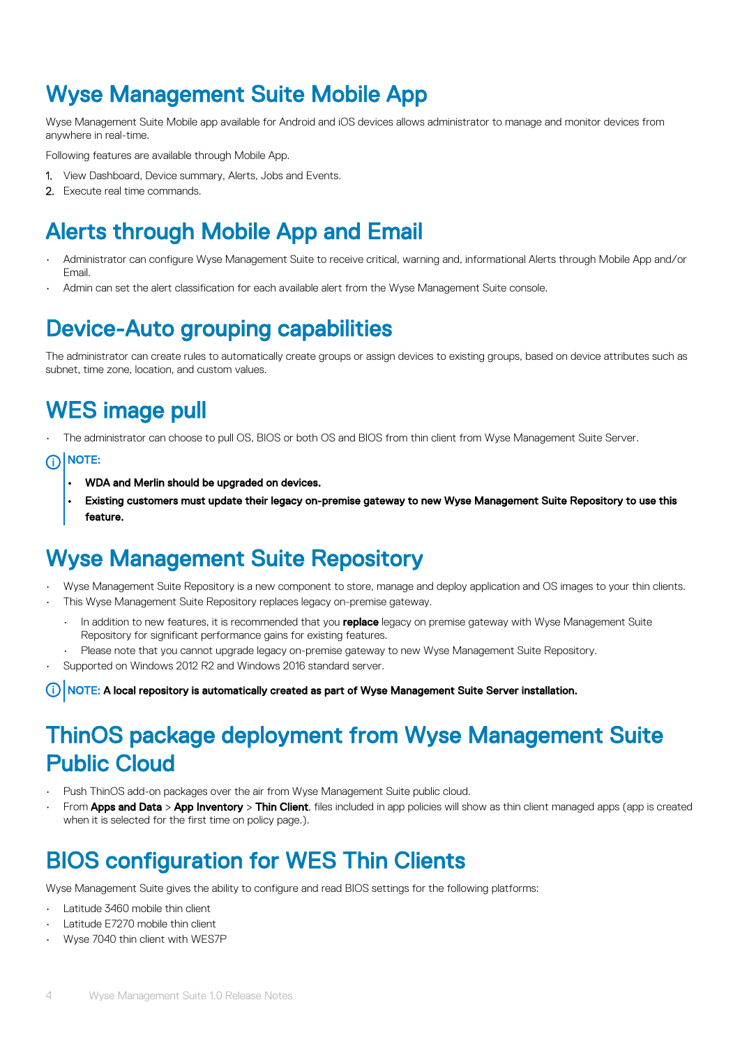#### Wyse Management Suite Mobile App

Wyse Management Suite Mobile app available for Android and iOS devices allows administrator to manage and monitor devices from anywhere in real-time.

Following features are available through Mobile App.

- 1. View Dashboard, Device summary, Alerts, Jobs and Events.
- 2. Execute real time commands.

#### Alerts through Mobile App and Email

- Administrator can configure Wyse Management Suite to receive critical, warning and, informational Alerts through Mobile App and/or Email.
- Admin can set the alert classification for each available alert from the Wyse Management Suite console.

#### Device-Auto grouping capabilities

The administrator can create rules to automatically create groups or assign devices to existing groups, based on device attributes such as subnet, time zone, location, and custom values.

### WES image pull

The administrator can choose to pull OS, BIOS or both OS and BIOS from thin client from Wyse Management Suite Server.

#### (j) NOTE:

- WDA and Merlin should be upgraded on devices.
- Existing customers must update their legacy on-premise gateway to new Wyse Management Suite Repository to use this feature.

#### Wyse Management Suite Repository

- Wyse Management Suite Repository is a new component to store, manage and deploy application and OS images to your thin clients.
- This Wyse Management Suite Repository replaces legacy on-premise gateway.
	- In addition to new features, it is recommended that you replace legacy on premise gateway with Wyse Management Suite Repository for significant performance gains for existing features.
- Please note that you cannot upgrade legacy on-premise gateway to new Wyse Management Suite Repository.
- Supported on Windows 2012 R2 and Windows 2016 standard server.

NOTE: A local repository is automatically created as part of Wyse Management Suite Server installation.

#### ThinOS package deployment from Wyse Management Suite Public Cloud

- Push ThinOS add-on packages over the air from Wyse Management Suite public cloud.
- From Apps and Data > App Inventory > Thin Client, files included in app policies will show as thin client managed apps (app is created when it is selected for the first time on policy page.).

#### BIOS configuration for WES Thin Clients

Wyse Management Suite gives the ability to configure and read BIOS settings for the following platforms:

- Latitude 3460 mobile thin client
- Latitude E7270 mobile thin client
- Wyse 7040 thin client with WES7P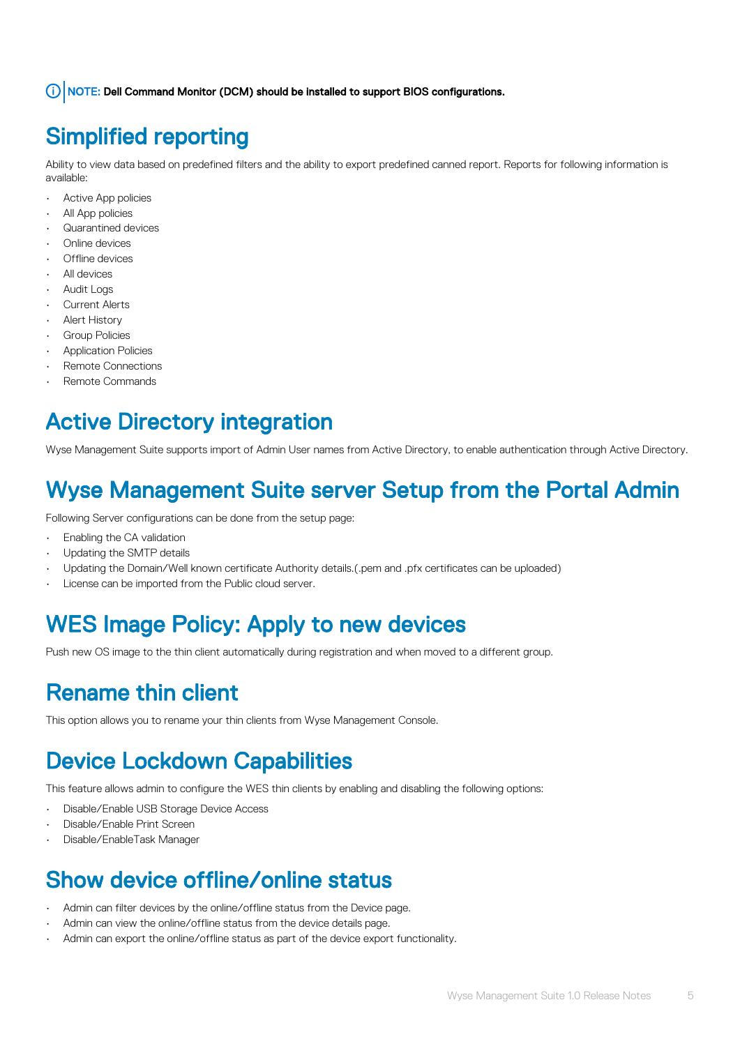NOTE: Dell Command Monitor (DCM) should be installed to support BIOS configurations.

#### Simplified reporting

Ability to view data based on predefined filters and the ability to export predefined canned report. Reports for following information is available:

- Active App policies
- All App policies
- Quarantined devices
- Online devices
- Offline devices
- All devices
- Audit Logs
- **Current Alerts**
- **Alert History**
- Group Policies
- Application Policies
- Remote Connections
- Remote Commands

#### Active Directory integration

Wyse Management Suite supports import of Admin User names from Active Directory, to enable authentication through Active Directory.

#### Wyse Management Suite server Setup from the Portal Admin

Following Server configurations can be done from the setup page:

- Enabling the CA validation
- Updating the SMTP details
- Updating the Domain/Well known certificate Authority details.(.pem and .pfx certificates can be uploaded)
- License can be imported from the Public cloud server.

### WES Image Policy: Apply to new devices

Push new OS image to the thin client automatically during registration and when moved to a different group.

#### Rename thin client

This option allows you to rename your thin clients from Wyse Management Console.

### Device Lockdown Capabilities

This feature allows admin to configure the WES thin clients by enabling and disabling the following options:

- Disable/Enable USB Storage Device Access
- Disable/Enable Print Screen
- Disable/EnableTask Manager

#### Show device offline/online status

- Admin can filter devices by the online/offline status from the Device page.
- Admin can view the online/offline status from the device details page.
- Admin can export the online/offline status as part of the device export functionality.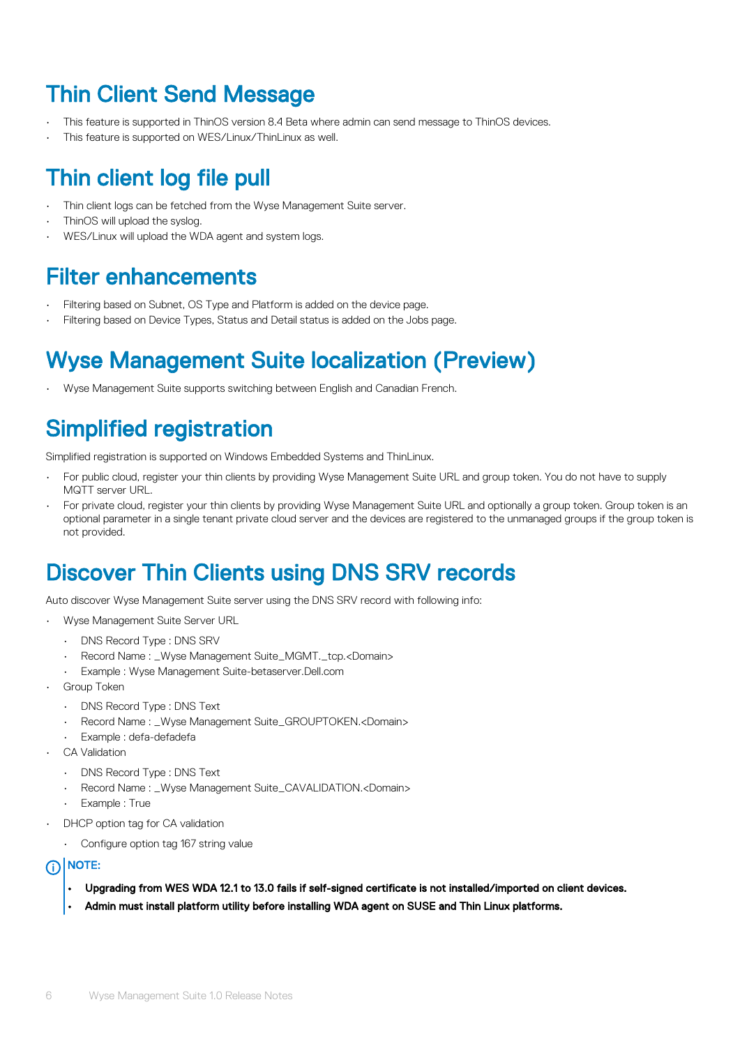#### Thin Client Send Message

- This feature is supported in ThinOS version 8.4 Beta where admin can send message to ThinOS devices.
- This feature is supported on WES/Linux/ThinLinux as well.

#### Thin client log file pull

- Thin client logs can be fetched from the Wyse Management Suite server.
- ThinOS will upload the syslog.
- WES/Linux will upload the WDA agent and system logs.

#### Filter enhancements

- Filtering based on Subnet, OS Type and Platform is added on the device page.
- Filtering based on Device Types, Status and Detail status is added on the Jobs page.

#### Wyse Management Suite localization (Preview)

• Wyse Management Suite supports switching between English and Canadian French.

#### Simplified registration

Simplified registration is supported on Windows Embedded Systems and ThinLinux.

- For public cloud, register your thin clients by providing Wyse Management Suite URL and group token. You do not have to supply MQTT server URL.
- For private cloud, register your thin clients by providing Wyse Management Suite URL and optionally a group token. Group token is an optional parameter in a single tenant private cloud server and the devices are registered to the unmanaged groups if the group token is not provided.

#### Discover Thin Clients using DNS SRV records

Auto discover Wyse Management Suite server using the DNS SRV record with following info:

- Wyse Management Suite Server URL
	- DNS Record Type : DNS SRV
	- Record Name : \_Wyse Management Suite\_MGMT.\_tcp.<Domain>
	- Example : Wyse Management Suite-betaserver.Dell.com
- Group Token
	- DNS Record Type : DNS Text
	- Record Name : \_Wyse Management Suite\_GROUPTOKEN.<Domain>
	- Example : defa-defadefa
- CA Validation
	- DNS Record Type : DNS Text
	- Record Name : \_Wyse Management Suite\_CAVALIDATION.<Domain>
	- Example : True
- DHCP option tag for CA validation
	- Configure option tag 167 string value

#### (i) NOTE:

- Upgrading from WES WDA 12.1 to 13.0 fails if self-signed certificate is not installed/imported on client devices.
- Admin must install platform utility before installing WDA agent on SUSE and Thin Linux platforms.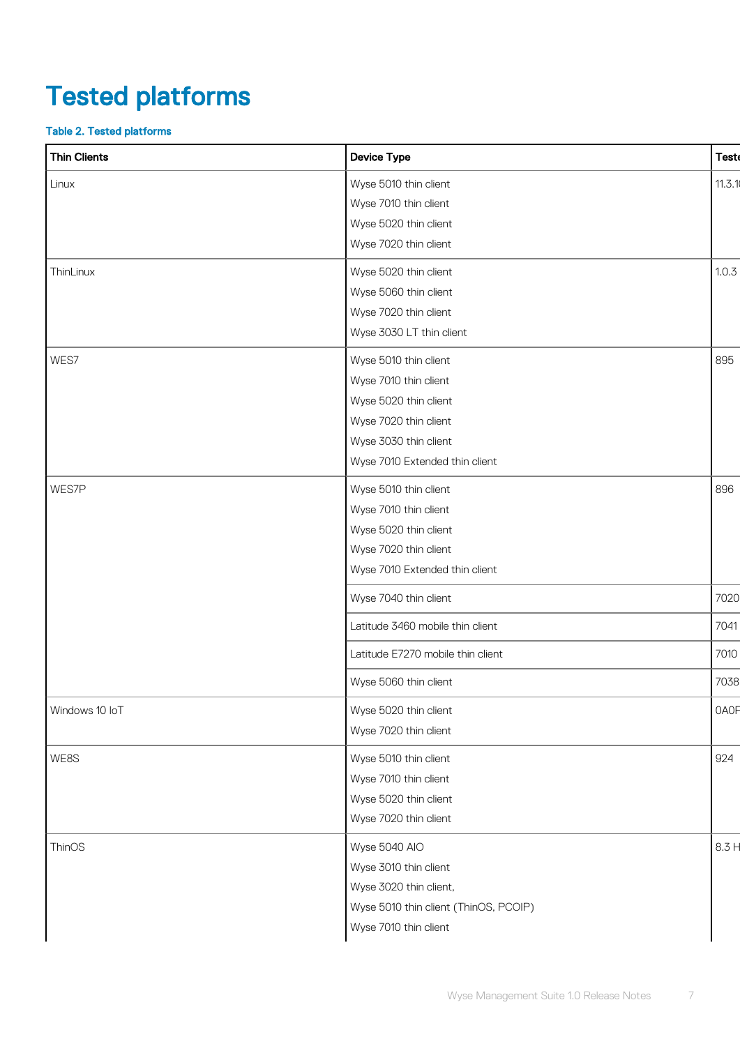# <span id="page-6-0"></span>Tested platforms

#### Table 2. Tested platforms

| <b>Thin Clients</b> | <b>Device Type</b>                    | <b>Teste</b> |
|---------------------|---------------------------------------|--------------|
| Linux               | Wyse 5010 thin client                 | 11.3.1       |
|                     | Wyse 7010 thin client                 |              |
|                     | Wyse 5020 thin client                 |              |
|                     | Wyse 7020 thin client                 |              |
| ThinLinux           | Wyse 5020 thin client                 | 1.0.3        |
|                     | Wyse 5060 thin client                 |              |
|                     | Wyse 7020 thin client                 |              |
|                     | Wyse 3030 LT thin client              |              |
| WES7                | Wyse 5010 thin client                 | 895          |
|                     | Wyse 7010 thin client                 |              |
|                     | Wyse 5020 thin client                 |              |
|                     | Wyse 7020 thin client                 |              |
|                     | Wyse 3030 thin client                 |              |
|                     | Wyse 7010 Extended thin client        |              |
| WES7P               | Wyse 5010 thin client                 | 896          |
|                     | Wyse 7010 thin client                 |              |
|                     | Wyse 5020 thin client                 |              |
|                     | Wyse 7020 thin client                 |              |
|                     | Wyse 7010 Extended thin client        |              |
|                     | Wyse 7040 thin client                 | 7020         |
|                     | Latitude 3460 mobile thin client      | 7041         |
|                     | Latitude E7270 mobile thin client     | 7010         |
|                     | Wyse 5060 thin client                 | 7038         |
| Windows 10 IoT      | Wyse 5020 thin client                 | <b>OAOF</b>  |
|                     | Wyse 7020 thin client                 |              |
| WE8S                | Wyse 5010 thin client                 | 924          |
|                     | Wyse 7010 thin client                 |              |
|                     | Wyse 5020 thin client                 |              |
|                     | Wyse 7020 thin client                 |              |
| ThinOS              | Wyse 5040 AIO                         | 8.3 H        |
|                     | Wyse 3010 thin client                 |              |
|                     | Wyse 3020 thin client,                |              |
|                     | Wyse 5010 thin client (ThinOS, PCOIP) |              |
|                     | Wyse 7010 thin client                 |              |
|                     |                                       |              |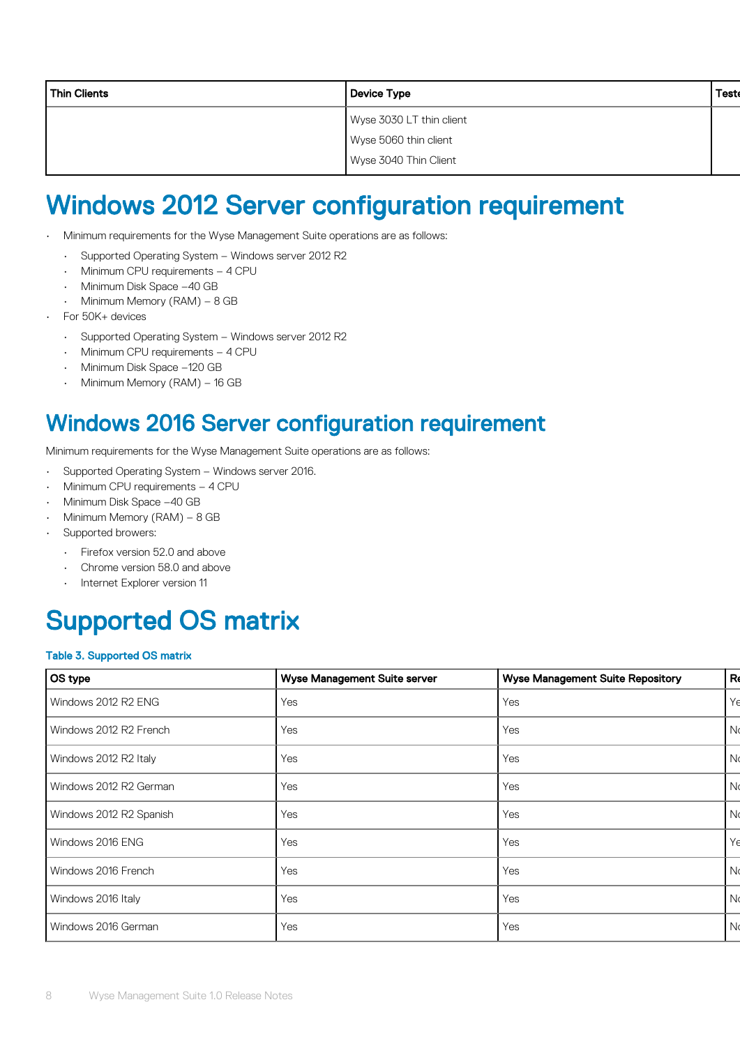<span id="page-7-0"></span>

| <b>Thin Clients</b> | Device Type              | <b>Test</b> |
|---------------------|--------------------------|-------------|
|                     | Wyse 3030 LT thin client |             |
|                     | Wyse 5060 thin client    |             |
|                     | Wyse 3040 Thin Client    |             |

### Windows 2012 Server configuration requirement

- Minimum requirements for the Wyse Management Suite operations are as follows:
	- Supported Operating System Windows server 2012 R2
	- Minimum CPU requirements 4 CPU
	- Minimum Disk Space –40 GB
	- Minimum Memory (RAM) 8 GB
- For 50K+ devices
	- Supported Operating System Windows server 2012 R2
	- Minimum CPU requirements 4 CPU
	- Minimum Disk Space –120 GB
	- Minimum Memory (RAM) 16 GB

#### Windows 2016 Server configuration requirement

Minimum requirements for the Wyse Management Suite operations are as follows:

- Supported Operating System Windows server 2016.
- Minimum CPU requirements 4 CPU
- Minimum Disk Space –40 GB
- Minimum Memory (RAM) 8 GB
- Supported browers:
	- Firefox version 52.0 and above
	- Chrome version 58.0 and above
	- Internet Explorer version 11

## Supported OS matrix

#### Table 3. Supported OS matrix

| OS type                 | <b>Wyse Management Suite server</b> | <b>Wyse Management Suite Repository</b> | R              |
|-------------------------|-------------------------------------|-----------------------------------------|----------------|
| Windows 2012 R2 ENG     | Yes                                 | Yes                                     | Yρ             |
| Windows 2012 R2 French  | Yes                                 | Yes                                     | N <sub>d</sub> |
| Windows 2012 R2 Italy   | Yes                                 | Yes                                     | N <sub>0</sub> |
| Windows 2012 R2 German  | Yes                                 | Yes                                     | Νd             |
| Windows 2012 R2 Spanish | Yes                                 | Yes                                     | Νd             |
| Windows 2016 ENG        | Yes                                 | Yes                                     | Yρ             |
| Windows 2016 French     | Yes                                 | Yes                                     | N <sub>d</sub> |
| Windows 2016 Italy      | Yes                                 | Yes                                     | Νd             |
| Windows 2016 German     | Yes                                 | Yes                                     | N <sub>0</sub> |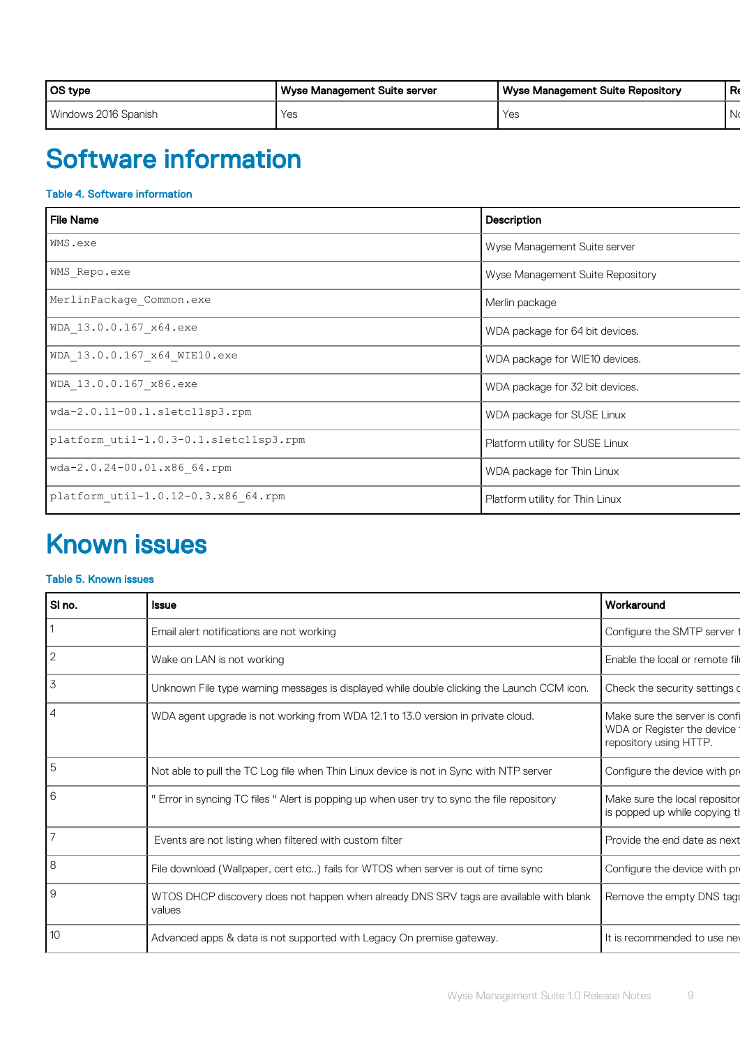<span id="page-8-0"></span>

| OS type              | Wyse Management Suite server | <b>Wyse Management Suite Repository</b> | D.<br>. $\mathbf{r}$ |
|----------------------|------------------------------|-----------------------------------------|----------------------|
| Windows 2016 Spanish | Yes                          | Yes                                     |                      |

## Software information

#### Table 4. Software information

| <b>File Name</b>                       | Description                      |
|----------------------------------------|----------------------------------|
| WMS.exe                                | Wyse Management Suite server     |
| WMS Repo.exe                           | Wyse Management Suite Repository |
| MerlinPackage Common.exe               | Merlin package                   |
| WDA 13.0.0.167_x64.exe                 | WDA package for 64 bit devices.  |
| WDA 13.0.0.167 x64 WIE10.exe           | WDA package for WIE10 devices.   |
| WDA 13.0.0.167 x86.exe                 | WDA package for 32 bit devices.  |
| wda-2.0.11-00.1.sletc11sp3.rpm         | WDA package for SUSE Linux       |
| platform util-1.0.3-0.1.sletc11sp3.rpm | Platform utility for SUSE Linux  |
| wda-2.0.24-00.01.x86 64.rpm            | WDA package for Thin Linux       |
| platform util-1.0.12-0.3.x86 64.rpm    | Platform utility for Thin Linux  |

## Known issues

#### Table 5. Known issues

| SI no.         | <b>Issue</b>                                                                                     | Workaround                                                                            |
|----------------|--------------------------------------------------------------------------------------------------|---------------------------------------------------------------------------------------|
|                | Email alert notifications are not working                                                        | Configure the SMTP server t                                                           |
| $ 2\rangle$    | Wake on LAN is not working                                                                       | Enable the local or remote file                                                       |
| 3              | Unknown File type warning messages is displayed while double clicking the Launch CCM icon.       | Check the security settings o                                                         |
| $\overline{4}$ | WDA agent upgrade is not working from WDA 12.1 to 13.0 version in private cloud.                 | Make sure the server is confi<br>WDA or Register the device<br>repository using HTTP. |
| 5              | Not able to pull the TC Log file when Thin Linux device is not in Sync with NTP server           | Configure the device with pr                                                          |
| l 6            | " Error in syncing TC files " Alert is popping up when user try to sync the file repository      | Make sure the local repositor<br>is popped up while copying th                        |
|                | Events are not listing when filtered with custom filter                                          | Provide the end date as next                                                          |
| 8              | File download (Wallpaper, cert etc) fails for WTOS when server is out of time sync               | Configure the device with pr                                                          |
| l 9            | WTOS DHCP discovery does not happen when already DNS SRV tags are available with blank<br>values | Remove the empty DNS tags                                                             |
| 10             | Advanced apps & data is not supported with Legacy On premise gateway.                            | It is recommended to use new                                                          |
|                |                                                                                                  |                                                                                       |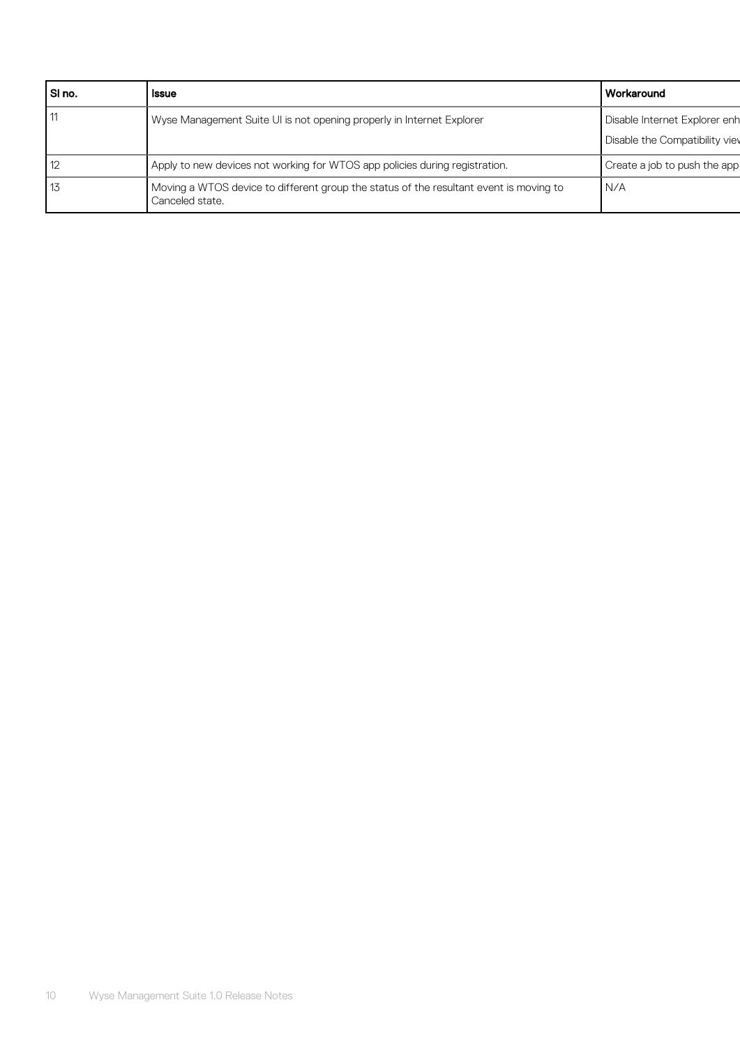| SI no. | <b>Issue</b>                                                                                              | l Workaround                   |
|--------|-----------------------------------------------------------------------------------------------------------|--------------------------------|
|        | Wyse Management Suite UI is not opening properly in Internet Explorer                                     | Disable Internet Explorer enh  |
|        |                                                                                                           | Disable the Compatibility view |
| 12     | Apply to new devices not working for WTOS app policies during registration.                               | Create a job to push the app   |
| 13     | Moving a WTOS device to different group the status of the resultant event is moving to<br>Canceled state. | I N/A                          |